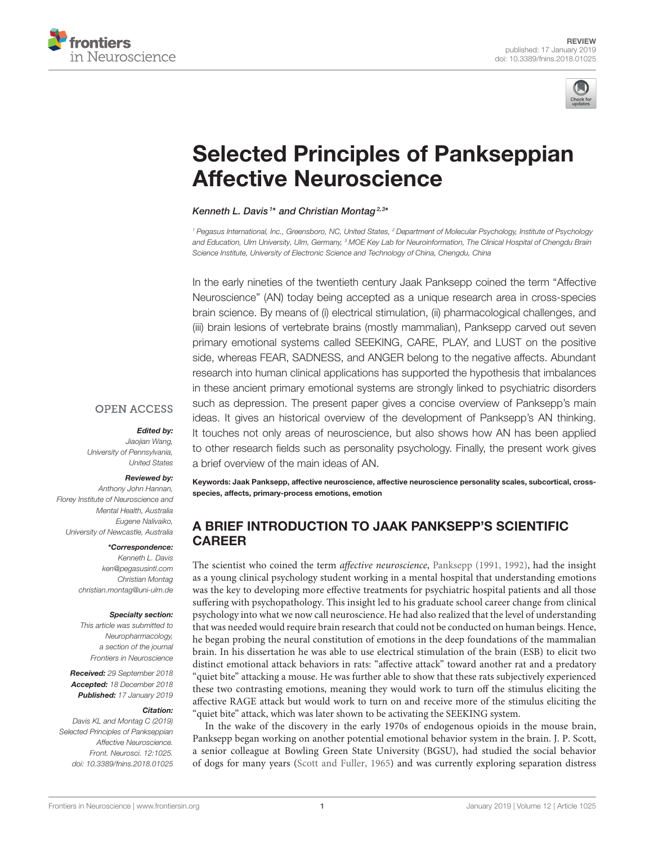



# [Selected Principles of Pankseppian](https://www.frontiersin.org/articles/10.3389/fnins.2018.01025/full) Affective Neuroscience

#### [Kenneth L. Davis](http://loop.frontiersin.org/people/663299/overview) <sup>1\*</sup> and [Christian Montag](http://loop.frontiersin.org/people/4601/overview) 2,3\*

*<sup>1</sup> Pegasus International, Inc., Greensboro, NC, United States, <sup>2</sup> Department of Molecular Psychology, Institute of Psychology and Education, Ulm University, Ulm, Germany, <sup>3</sup> MOE Key Lab for Neuroinformation, The Clinical Hospital of Chengdu Brain Science Institute, University of Electronic Science and Technology of China, Chengdu, China*

In the early nineties of the twentieth century Jaak Panksepp coined the term "Affective Neuroscience" (AN) today being accepted as a unique research area in cross-species brain science. By means of (i) electrical stimulation, (ii) pharmacological challenges, and (iii) brain lesions of vertebrate brains (mostly mammalian), Panksepp carved out seven primary emotional systems called SEEKING, CARE, PLAY, and LUST on the positive side, whereas FEAR, SADNESS, and ANGER belong to the negative affects. Abundant research into human clinical applications has supported the hypothesis that imbalances in these ancient primary emotional systems are strongly linked to psychiatric disorders such as depression. The present paper gives a concise overview of Panksepp's main ideas. It gives an historical overview of the development of Panksepp's AN thinking. It touches not only areas of neuroscience, but also shows how AN has been applied to other research fields such as personality psychology. Finally, the present work gives a brief overview of the main ideas of AN.

#### **OPEN ACCESS**

#### Edited by:

*Jiaojian Wang, University of Pennsylvania, United States*

#### Reviewed by:

*Anthony John Hannan, Florey Institute of Neuroscience and Mental Health, Australia Eugene Nalivaiko, University of Newcastle, Australia*

#### \*Correspondence:

*Kenneth L. Davis [ken@pegasusintl.com](mailto:ken@pegasusintl.com) Christian Montag [christian.montag@uni-ulm.de](mailto:christian.montag@uni-ulm.de)*

#### Specialty section:

*This article was submitted to Neuropharmacology, a section of the journal Frontiers in Neuroscience*

Received: *29 September 2018* Accepted: *18 December 2018* Published: *17 January 2019*

#### Citation:

*Davis KL and Montag C (2019) Selected Principles of Pankseppian Affective Neuroscience. Front. Neurosci. 12:1025. doi: [10.3389/fnins.2018.01025](https://doi.org/10.3389/fnins.2018.01025)*

Keywords: Jaak Panksepp, affective neuroscience, affective neuroscience personality scales, subcortical, crossspecies, affects, primary-process emotions, emotion

# A BRIEF INTRODUCTION TO JAAK PANKSEPP'S SCIENTIFIC CAREER

The scientist who coined the term affective neuroscience, [Panksepp \(1991,](#page-9-0) [1992\)](#page-9-1), had the insight as a young clinical psychology student working in a mental hospital that understanding emotions was the key to developing more effective treatments for psychiatric hospital patients and all those suffering with psychopathology. This insight led to his graduate school career change from clinical psychology into what we now call neuroscience. He had also realized that the level of understanding that was needed would require brain research that could not be conducted on human beings. Hence, he began probing the neural constitution of emotions in the deep foundations of the mammalian brain. In his dissertation he was able to use electrical stimulation of the brain (ESB) to elicit two distinct emotional attack behaviors in rats: "affective attack" toward another rat and a predatory "quiet bite" attacking a mouse. He was further able to show that these rats subjectively experienced these two contrasting emotions, meaning they would work to turn off the stimulus eliciting the affective RAGE attack but would work to turn on and receive more of the stimulus eliciting the "quiet bite" attack, which was later shown to be activating the SEEKING system.

In the wake of the discovery in the early 1970s of endogenous opioids in the mouse brain, Panksepp began working on another potential emotional behavior system in the brain. J. P. Scott, a senior colleague at Bowling Green State University (BGSU), had studied the social behavior of dogs for many years [\(Scott and Fuller, 1965\)](#page-10-0) and was currently exploring separation distress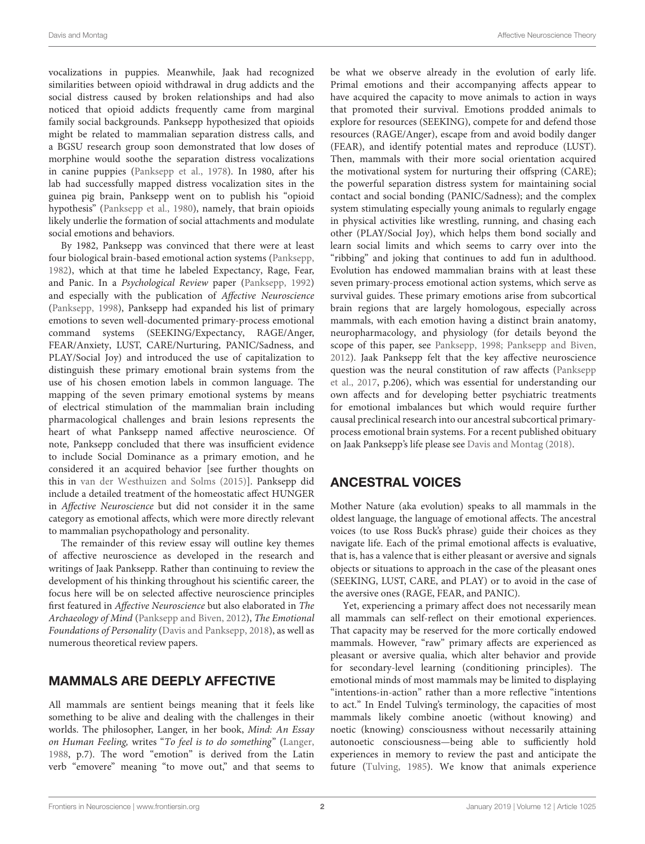vocalizations in puppies. Meanwhile, Jaak had recognized similarities between opioid withdrawal in drug addicts and the social distress caused by broken relationships and had also noticed that opioid addicts frequently came from marginal family social backgrounds. Panksepp hypothesized that opioids might be related to mammalian separation distress calls, and a BGSU research group soon demonstrated that low doses of morphine would soothe the separation distress vocalizations in canine puppies [\(Panksepp et al., 1978\)](#page-9-2). In 1980, after his lab had successfully mapped distress vocalization sites in the guinea pig brain, Panksepp went on to publish his "opioid hypothesis" [\(Panksepp et al., 1980\)](#page-10-1), namely, that brain opioids likely underlie the formation of social attachments and modulate social emotions and behaviors.

By 1982, Panksepp was convinced that there were at least four biological brain-based emotional action systems [\(Panksepp,](#page-9-3) [1982\)](#page-9-3), which at that time he labeled Expectancy, Rage, Fear, and Panic. In a Psychological Review paper [\(Panksepp, 1992\)](#page-9-1) and especially with the publication of Affective Neuroscience [\(Panksepp, 1998\)](#page-9-4), Panksepp had expanded his list of primary emotions to seven well-documented primary-process emotional command systems (SEEKING/Expectancy, RAGE/Anger, FEAR/Anxiety, LUST, CARE/Nurturing, PANIC/Sadness, and PLAY/Social Joy) and introduced the use of capitalization to distinguish these primary emotional brain systems from the use of his chosen emotion labels in common language. The mapping of the seven primary emotional systems by means of electrical stimulation of the mammalian brain including pharmacological challenges and brain lesions represents the heart of what Panksepp named affective neuroscience. Of note, Panksepp concluded that there was insufficient evidence to include Social Dominance as a primary emotion, and he considered it an acquired behavior [see further thoughts on this in [van der Westhuizen and Solms \(2015\)](#page-10-2)]. Panksepp did include a detailed treatment of the homeostatic affect HUNGER in Affective Neuroscience but did not consider it in the same category as emotional affects, which were more directly relevant to mammalian psychopathology and personality.

The remainder of this review essay will outline key themes of affective neuroscience as developed in the research and writings of Jaak Panksepp. Rather than continuing to review the development of his thinking throughout his scientific career, the focus here will be on selected affective neuroscience principles first featured in Affective Neuroscience but also elaborated in The Archaeology of Mind [\(Panksepp and Biven, 2012\)](#page-9-5), The Emotional Foundations of Personality [\(Davis and Panksepp, 2018\)](#page-8-0), as well as numerous theoretical review papers.

#### MAMMALS ARE DEEPLY AFFECTIVE

All mammals are sentient beings meaning that it feels like something to be alive and dealing with the challenges in their worlds. The philosopher, Langer, in her book, Mind: An Essay on Human Feeling, writes "To feel is to do something" [\(Langer,](#page-9-6) [1988,](#page-9-6) p.7). The word "emotion" is derived from the Latin verb "emovere" meaning "to move out," and that seems to be what we observe already in the evolution of early life. Primal emotions and their accompanying affects appear to have acquired the capacity to move animals to action in ways that promoted their survival. Emotions prodded animals to explore for resources (SEEKING), compete for and defend those resources (RAGE/Anger), escape from and avoid bodily danger (FEAR), and identify potential mates and reproduce (LUST). Then, mammals with their more social orientation acquired the motivational system for nurturing their offspring (CARE); the powerful separation distress system for maintaining social contact and social bonding (PANIC/Sadness); and the complex system stimulating especially young animals to regularly engage in physical activities like wrestling, running, and chasing each other (PLAY/Social Joy), which helps them bond socially and learn social limits and which seems to carry over into the "ribbing" and joking that continues to add fun in adulthood. Evolution has endowed mammalian brains with at least these seven primary-process emotional action systems, which serve as survival guides. These primary emotions arise from subcortical brain regions that are largely homologous, especially across mammals, with each emotion having a distinct brain anatomy, neuropharmacology, and physiology (for details beyond the scope of this paper, see [Panksepp, 1998;](#page-9-4) [Panksepp and Biven,](#page-9-5) [2012\)](#page-9-5). Jaak Panksepp felt that the key affective neuroscience question was the neural constitution of raw affects (Panksepp et al., [2017,](#page-10-3) p.206), which was essential for understanding our own affects and for developing better psychiatric treatments for emotional imbalances but which would require further causal preclinical research into our ancestral subcortical primaryprocess emotional brain systems. For a recent published obituary on Jaak Panksepp's life please see [Davis and Montag \(2018\)](#page-8-1).

# ANCESTRAL VOICES

Mother Nature (aka evolution) speaks to all mammals in the oldest language, the language of emotional affects. The ancestral voices (to use Ross Buck's phrase) guide their choices as they navigate life. Each of the primal emotional affects is evaluative, that is, has a valence that is either pleasant or aversive and signals objects or situations to approach in the case of the pleasant ones (SEEKING, LUST, CARE, and PLAY) or to avoid in the case of the aversive ones (RAGE, FEAR, and PANIC).

Yet, experiencing a primary affect does not necessarily mean all mammals can self-reflect on their emotional experiences. That capacity may be reserved for the more cortically endowed mammals. However, "raw" primary affects are experienced as pleasant or aversive qualia, which alter behavior and provide for secondary-level learning (conditioning principles). The emotional minds of most mammals may be limited to displaying "intentions-in-action" rather than a more reflective "intentions to act." In Endel Tulving's terminology, the capacities of most mammals likely combine anoetic (without knowing) and noetic (knowing) consciousness without necessarily attaining autonoetic consciousness—being able to sufficiently hold experiences in memory to review the past and anticipate the future [\(Tulving, 1985\)](#page-10-4). We know that animals experience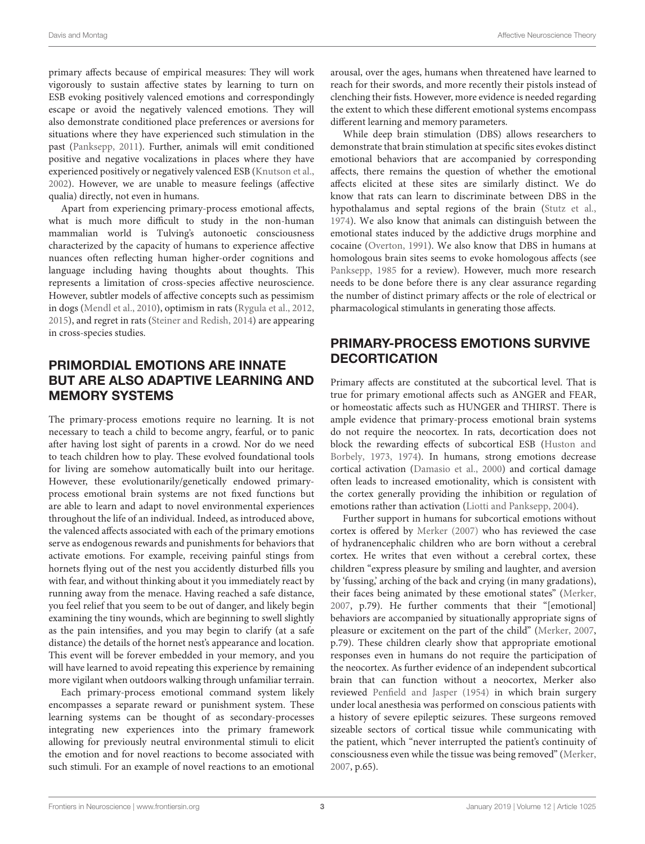primary affects because of empirical measures: They will work vigorously to sustain affective states by learning to turn on ESB evoking positively valenced emotions and correspondingly escape or avoid the negatively valenced emotions. They will also demonstrate conditioned place preferences or aversions for situations where they have experienced such stimulation in the past [\(Panksepp, 2011\)](#page-9-7). Further, animals will emit conditioned positive and negative vocalizations in places where they have experienced positively or negatively valenced ESB [\(Knutson et al.,](#page-9-8) [2002\)](#page-9-8). However, we are unable to measure feelings (affective qualia) directly, not even in humans.

Apart from experiencing primary-process emotional affects, what is much more difficult to study in the non-human mammalian world is Tulving's autonoetic consciousness characterized by the capacity of humans to experience affective nuances often reflecting human higher-order cognitions and language including having thoughts about thoughts. This represents a limitation of cross-species affective neuroscience. However, subtler models of affective concepts such as pessimism in dogs [\(Mendl et al., 2010\)](#page-9-9), optimism in rats [\(Rygula et al., 2012,](#page-10-5) [2015\)](#page-10-6), and regret in rats [\(Steiner and Redish, 2014\)](#page-10-7) are appearing in cross-species studies.

# PRIMORDIAL EMOTIONS ARE INNATE BUT ARE ALSO ADAPTIVE LEARNING AND MEMORY SYSTEMS

The primary-process emotions require no learning. It is not necessary to teach a child to become angry, fearful, or to panic after having lost sight of parents in a crowd. Nor do we need to teach children how to play. These evolved foundational tools for living are somehow automatically built into our heritage. However, these evolutionarily/genetically endowed primaryprocess emotional brain systems are not fixed functions but are able to learn and adapt to novel environmental experiences throughout the life of an individual. Indeed, as introduced above, the valenced affects associated with each of the primary emotions serve as endogenous rewards and punishments for behaviors that activate emotions. For example, receiving painful stings from hornets flying out of the nest you accidently disturbed fills you with fear, and without thinking about it you immediately react by running away from the menace. Having reached a safe distance, you feel relief that you seem to be out of danger, and likely begin examining the tiny wounds, which are beginning to swell slightly as the pain intensifies, and you may begin to clarify (at a safe distance) the details of the hornet nest's appearance and location. This event will be forever embedded in your memory, and you will have learned to avoid repeating this experience by remaining more vigilant when outdoors walking through unfamiliar terrain.

Each primary-process emotional command system likely encompasses a separate reward or punishment system. These learning systems can be thought of as secondary-processes integrating new experiences into the primary framework allowing for previously neutral environmental stimuli to elicit the emotion and for novel reactions to become associated with such stimuli. For an example of novel reactions to an emotional arousal, over the ages, humans when threatened have learned to reach for their swords, and more recently their pistols instead of clenching their fists. However, more evidence is needed regarding the extent to which these different emotional systems encompass different learning and memory parameters.

While deep brain stimulation (DBS) allows researchers to demonstrate that brain stimulation at specific sites evokes distinct emotional behaviors that are accompanied by corresponding affects, there remains the question of whether the emotional affects elicited at these sites are similarly distinct. We do know that rats can learn to discriminate between DBS in the hypothalamus and septal regions of the brain [\(Stutz et al.,](#page-10-8) [1974\)](#page-10-8). We also know that animals can distinguish between the emotional states induced by the addictive drugs morphine and cocaine [\(Overton, 1991\)](#page-9-10). We also know that DBS in humans at homologous brain sites seems to evoke homologous affects (see [Panksepp, 1985](#page-9-11) for a review). However, much more research needs to be done before there is any clear assurance regarding the number of distinct primary affects or the role of electrical or pharmacological stimulants in generating those affects.

# PRIMARY-PROCESS EMOTIONS SURVIVE **DECORTICATION**

Primary affects are constituted at the subcortical level. That is true for primary emotional affects such as ANGER and FEAR, or homeostatic affects such as HUNGER and THIRST. There is ample evidence that primary-process emotional brain systems do not require the neocortex. In rats, decortication does not block the rewarding effects of subcortical ESB (Huston and Borbely, [1973,](#page-9-12) [1974\)](#page-9-13). In humans, strong emotions decrease cortical activation [\(Damasio et al., 2000\)](#page-8-2) and cortical damage often leads to increased emotionality, which is consistent with the cortex generally providing the inhibition or regulation of emotions rather than activation [\(Liotti and Panksepp, 2004\)](#page-9-14).

Further support in humans for subcortical emotions without cortex is offered by [Merker \(2007\)](#page-9-15) who has reviewed the case of hydranencephalic children who are born without a cerebral cortex. He writes that even without a cerebral cortex, these children "express pleasure by smiling and laughter, and aversion by 'fussing,' arching of the back and crying (in many gradations), their faces being animated by these emotional states" [\(Merker,](#page-9-15) [2007,](#page-9-15) p.79). He further comments that their "[emotional] behaviors are accompanied by situationally appropriate signs of pleasure or excitement on the part of the child" [\(Merker, 2007,](#page-9-15) p.79). These children clearly show that appropriate emotional responses even in humans do not require the participation of the neocortex. As further evidence of an independent subcortical brain that can function without a neocortex, Merker also reviewed [Penfield and Jasper \(1954\)](#page-10-9) in which brain surgery under local anesthesia was performed on conscious patients with a history of severe epileptic seizures. These surgeons removed sizeable sectors of cortical tissue while communicating with the patient, which "never interrupted the patient's continuity of consciousness even while the tissue was being removed" [\(Merker,](#page-9-15) [2007,](#page-9-15) p.65).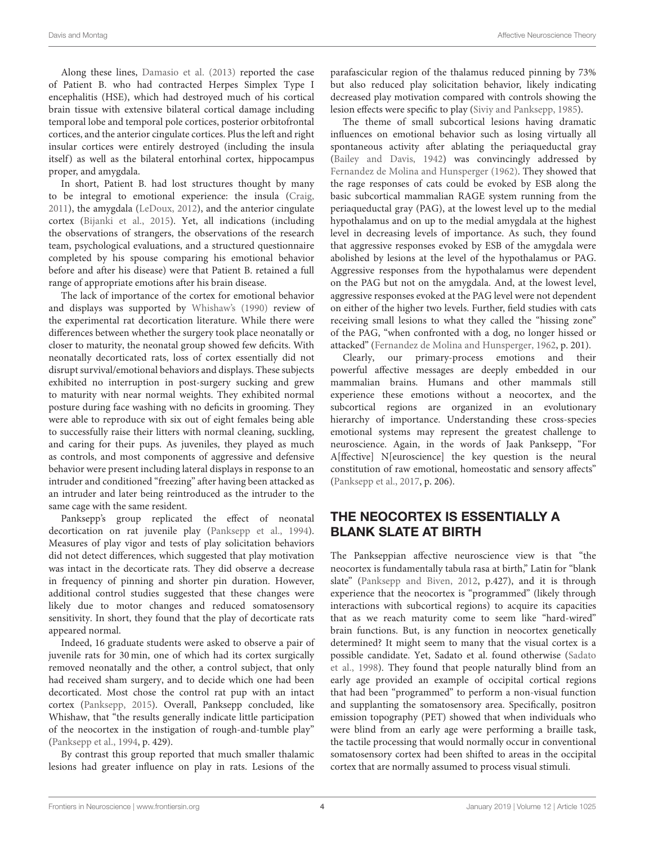Along these lines, [Damasio et al. \(2013\)](#page-8-3) reported the case of Patient B. who had contracted Herpes Simplex Type I encephalitis (HSE), which had destroyed much of his cortical brain tissue with extensive bilateral cortical damage including temporal lobe and temporal pole cortices, posterior orbitofrontal cortices, and the anterior cingulate cortices. Plus the left and right insular cortices were entirely destroyed (including the insula itself) as well as the bilateral entorhinal cortex, hippocampus proper, and amygdala.

In short, Patient B. had lost structures thought by many to be integral to emotional experience: the insula [\(Craig,](#page-8-4) [2011\)](#page-8-4), the amygdala [\(LeDoux, 2012\)](#page-9-16), and the anterior cingulate cortex [\(Bijanki et al., 2015\)](#page-8-5). Yet, all indications (including the observations of strangers, the observations of the research team, psychological evaluations, and a structured questionnaire completed by his spouse comparing his emotional behavior before and after his disease) were that Patient B. retained a full range of appropriate emotions after his brain disease.

The lack of importance of the cortex for emotional behavior and displays was supported by [Whishaw's \(1990\)](#page-10-10) review of the experimental rat decortication literature. While there were differences between whether the surgery took place neonatally or closer to maturity, the neonatal group showed few deficits. With neonatally decorticated rats, loss of cortex essentially did not disrupt survival/emotional behaviors and displays. These subjects exhibited no interruption in post-surgery sucking and grew to maturity with near normal weights. They exhibited normal posture during face washing with no deficits in grooming. They were able to reproduce with six out of eight females being able to successfully raise their litters with normal cleaning, suckling, and caring for their pups. As juveniles, they played as much as controls, and most components of aggressive and defensive behavior were present including lateral displays in response to an intruder and conditioned "freezing" after having been attacked as an intruder and later being reintroduced as the intruder to the same cage with the same resident.

Panksepp's group replicated the effect of neonatal decortication on rat juvenile play [\(Panksepp et al., 1994\)](#page-10-11). Measures of play vigor and tests of play solicitation behaviors did not detect differences, which suggested that play motivation was intact in the decorticate rats. They did observe a decrease in frequency of pinning and shorter pin duration. However, additional control studies suggested that these changes were likely due to motor changes and reduced somatosensory sensitivity. In short, they found that the play of decorticate rats appeared normal.

Indeed, 16 graduate students were asked to observe a pair of juvenile rats for 30 min, one of which had its cortex surgically removed neonatally and the other, a control subject, that only had received sham surgery, and to decide which one had been decorticated. Most chose the control rat pup with an intact cortex [\(Panksepp, 2015\)](#page-9-17). Overall, Panksepp concluded, like Whishaw, that "the results generally indicate little participation of the neocortex in the instigation of rough-and-tumble play" [\(Panksepp et al., 1994,](#page-10-11) p. 429).

By contrast this group reported that much smaller thalamic lesions had greater influence on play in rats. Lesions of the parafascicular region of the thalamus reduced pinning by 73% but also reduced play solicitation behavior, likely indicating decreased play motivation compared with controls showing the lesion effects were specific to play [\(Siviy and Panksepp, 1985\)](#page-10-12).

The theme of small subcortical lesions having dramatic influences on emotional behavior such as losing virtually all spontaneous activity after ablating the periaqueductal gray [\(Bailey and Davis, 1942\)](#page-8-6) was convincingly addressed by [Fernandez de Molina and Hunsperger \(1962\)](#page-8-7). They showed that the rage responses of cats could be evoked by ESB along the basic subcortical mammalian RAGE system running from the periaqueductal gray (PAG), at the lowest level up to the medial hypothalamus and on up to the medial amygdala at the highest level in decreasing levels of importance. As such, they found that aggressive responses evoked by ESB of the amygdala were abolished by lesions at the level of the hypothalamus or PAG. Aggressive responses from the hypothalamus were dependent on the PAG but not on the amygdala. And, at the lowest level, aggressive responses evoked at the PAG level were not dependent on either of the higher two levels. Further, field studies with cats receiving small lesions to what they called the "hissing zone" of the PAG, "when confronted with a dog, no longer hissed or attacked" [\(Fernandez de Molina and Hunsperger, 1962,](#page-8-7) p. 201).

Clearly, our primary-process emotions and their powerful affective messages are deeply embedded in our mammalian brains. Humans and other mammals still experience these emotions without a neocortex, and the subcortical regions are organized in an evolutionary hierarchy of importance. Understanding these cross-species emotional systems may represent the greatest challenge to neuroscience. Again, in the words of Jaak Panksepp, "For A[ffective] N[euroscience] the key question is the neural constitution of raw emotional, homeostatic and sensory affects" [\(Panksepp et al., 2017,](#page-10-3) p. 206).

### THE NEOCORTEX IS ESSENTIALLY A BLANK SLATE AT BIRTH

The Pankseppian affective neuroscience view is that "the neocortex is fundamentally tabula rasa at birth," Latin for "blank slate" [\(Panksepp and Biven, 2012,](#page-9-5) p.427), and it is through experience that the neocortex is "programmed" (likely through interactions with subcortical regions) to acquire its capacities that as we reach maturity come to seem like "hard-wired" brain functions. But, is any function in neocortex genetically determined? It might seem to many that the visual cortex is a possible candidate. Yet, Sadato et al. found otherwise (Sadato et al., [1998\)](#page-10-13). They found that people naturally blind from an early age provided an example of occipital cortical regions that had been "programmed" to perform a non-visual function and supplanting the somatosensory area. Specifically, positron emission topography (PET) showed that when individuals who were blind from an early age were performing a braille task, the tactile processing that would normally occur in conventional somatosensory cortex had been shifted to areas in the occipital cortex that are normally assumed to process visual stimuli.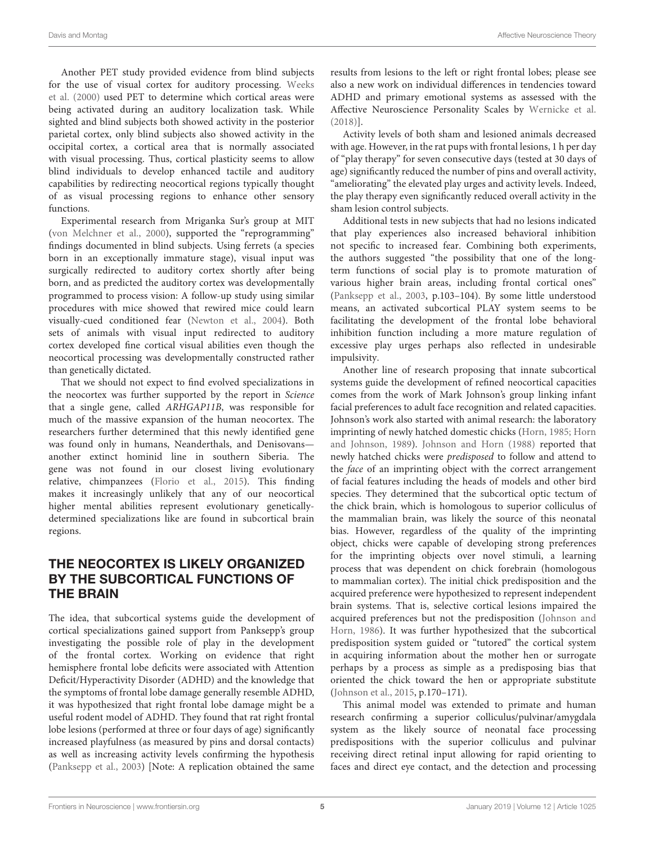Another PET study provided evidence from blind subjects for the use of visual cortex for auditory processing. Weeks et al. [\(2000\)](#page-10-14) used PET to determine which cortical areas were being activated during an auditory localization task. While sighted and blind subjects both showed activity in the posterior parietal cortex, only blind subjects also showed activity in the occipital cortex, a cortical area that is normally associated with visual processing. Thus, cortical plasticity seems to allow blind individuals to develop enhanced tactile and auditory capabilities by redirecting neocortical regions typically thought of as visual processing regions to enhance other sensory functions.

Experimental research from Mriganka Sur's group at MIT [\(von Melchner et al., 2000\)](#page-10-15), supported the "reprogramming" findings documented in blind subjects. Using ferrets (a species born in an exceptionally immature stage), visual input was surgically redirected to auditory cortex shortly after being born, and as predicted the auditory cortex was developmentally programmed to process vision: A follow-up study using similar procedures with mice showed that rewired mice could learn visually-cued conditioned fear [\(Newton et al., 2004\)](#page-9-18). Both sets of animals with visual input redirected to auditory cortex developed fine cortical visual abilities even though the neocortical processing was developmentally constructed rather than genetically dictated.

That we should not expect to find evolved specializations in the neocortex was further supported by the report in Science that a single gene, called ARHGAP11B, was responsible for much of the massive expansion of the human neocortex. The researchers further determined that this newly identified gene was found only in humans, Neanderthals, and Denisovans another extinct hominid line in southern Siberia. The gene was not found in our closest living evolutionary relative, chimpanzees [\(Florio et al., 2015\)](#page-9-19). This finding makes it increasingly unlikely that any of our neocortical higher mental abilities represent evolutionary geneticallydetermined specializations like are found in subcortical brain regions.

### THE NEOCORTEX IS LIKELY ORGANIZED BY THE SUBCORTICAL FUNCTIONS OF THE BRAIN

The idea, that subcortical systems guide the development of cortical specializations gained support from Panksepp's group investigating the possible role of play in the development of the frontal cortex. Working on evidence that right hemisphere frontal lobe deficits were associated with Attention Deficit/Hyperactivity Disorder (ADHD) and the knowledge that the symptoms of frontal lobe damage generally resemble ADHD, it was hypothesized that right frontal lobe damage might be a useful rodent model of ADHD. They found that rat right frontal lobe lesions (performed at three or four days of age) significantly increased playfulness (as measured by pins and dorsal contacts) as well as increasing activity levels confirming the hypothesis [\(Panksepp et al., 2003\)](#page-9-20) [Note: A replication obtained the same results from lesions to the left or right frontal lobes; please see also a new work on individual differences in tendencies toward ADHD and primary emotional systems as assessed with the Affective Neuroscience Personality Scales by [Wernicke et al.](#page-10-16) [\(2018\)](#page-10-16)].

Activity levels of both sham and lesioned animals decreased with age. However, in the rat pups with frontal lesions, 1 h per day of "play therapy" for seven consecutive days (tested at 30 days of age) significantly reduced the number of pins and overall activity, "ameliorating" the elevated play urges and activity levels. Indeed, the play therapy even significantly reduced overall activity in the sham lesion control subjects.

Additional tests in new subjects that had no lesions indicated that play experiences also increased behavioral inhibition not specific to increased fear. Combining both experiments, the authors suggested "the possibility that one of the longterm functions of social play is to promote maturation of various higher brain areas, including frontal cortical ones" [\(Panksepp et al., 2003,](#page-9-20) p.103–104). By some little understood means, an activated subcortical PLAY system seems to be facilitating the development of the frontal lobe behavioral inhibition function including a more mature regulation of excessive play urges perhaps also reflected in undesirable impulsivity.

Another line of research proposing that innate subcortical systems guide the development of refined neocortical capacities comes from the work of Mark Johnson's group linking infant facial preferences to adult face recognition and related capacities. Johnson's work also started with animal research: the laboratory imprinting of newly hatched domestic chicks [\(Horn, 1985;](#page-9-21) Horn and Johnson, [1989\)](#page-9-22). [Johnson and Horn \(1988\)](#page-9-23) reported that newly hatched chicks were predisposed to follow and attend to the face of an imprinting object with the correct arrangement of facial features including the heads of models and other bird species. They determined that the subcortical optic tectum of the chick brain, which is homologous to superior colliculus of the mammalian brain, was likely the source of this neonatal bias. However, regardless of the quality of the imprinting object, chicks were capable of developing strong preferences for the imprinting objects over novel stimuli, a learning process that was dependent on chick forebrain (homologous to mammalian cortex). The initial chick predisposition and the acquired preference were hypothesized to represent independent brain systems. That is, selective cortical lesions impaired the acquired preferences but not the predisposition (Johnson and Horn, [1986\)](#page-9-24). It was further hypothesized that the subcortical predisposition system guided or "tutored" the cortical system in acquiring information about the mother hen or surrogate perhaps by a process as simple as a predisposing bias that oriented the chick toward the hen or appropriate substitute [\(Johnson et al., 2015,](#page-9-25) p.170–171).

This animal model was extended to primate and human research confirming a superior colliculus/pulvinar/amygdala system as the likely source of neonatal face processing predispositions with the superior colliculus and pulvinar receiving direct retinal input allowing for rapid orienting to faces and direct eye contact, and the detection and processing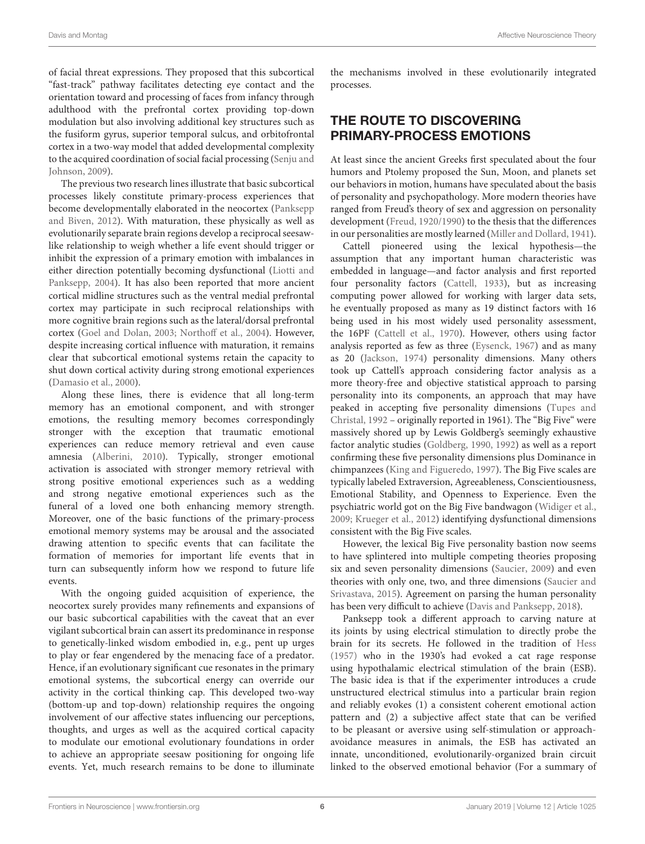of facial threat expressions. They proposed that this subcortical "fast-track" pathway facilitates detecting eye contact and the orientation toward and processing of faces from infancy through adulthood with the prefrontal cortex providing top-down modulation but also involving additional key structures such as the fusiform gyrus, superior temporal sulcus, and orbitofrontal cortex in a two-way model that added developmental complexity to the acquired coordination of social facial processing (Senju and Johnson, [2009\)](#page-10-17).

The previous two research lines illustrate that basic subcortical processes likely constitute primary-process experiences that become developmentally elaborated in the neocortex (Panksepp and Biven, [2012\)](#page-9-5). With maturation, these physically as well as evolutionarily separate brain regions develop a reciprocal seesawlike relationship to weigh whether a life event should trigger or inhibit the expression of a primary emotion with imbalances in either direction potentially becoming dysfunctional (Liotti and Panksepp, [2004\)](#page-9-14). It has also been reported that more ancient cortical midline structures such as the ventral medial prefrontal cortex may participate in such reciprocal relationships with more cognitive brain regions such as the lateral/dorsal prefrontal cortex [\(Goel and Dolan, 2003;](#page-9-26) [Northoff et al., 2004\)](#page-9-27). However, despite increasing cortical influence with maturation, it remains clear that subcortical emotional systems retain the capacity to shut down cortical activity during strong emotional experiences [\(Damasio et al., 2000\)](#page-8-2).

Along these lines, there is evidence that all long-term memory has an emotional component, and with stronger emotions, the resulting memory becomes correspondingly stronger with the exception that traumatic emotional experiences can reduce memory retrieval and even cause amnesia [\(Alberini, 2010\)](#page-8-8). Typically, stronger emotional activation is associated with stronger memory retrieval with strong positive emotional experiences such as a wedding and strong negative emotional experiences such as the funeral of a loved one both enhancing memory strength. Moreover, one of the basic functions of the primary-process emotional memory systems may be arousal and the associated drawing attention to specific events that can facilitate the formation of memories for important life events that in turn can subsequently inform how we respond to future life events.

With the ongoing guided acquisition of experience, the neocortex surely provides many refinements and expansions of our basic subcortical capabilities with the caveat that an ever vigilant subcortical brain can assert its predominance in response to genetically-linked wisdom embodied in, e.g., pent up urges to play or fear engendered by the menacing face of a predator. Hence, if an evolutionary significant cue resonates in the primary emotional systems, the subcortical energy can override our activity in the cortical thinking cap. This developed two-way (bottom-up and top-down) relationship requires the ongoing involvement of our affective states influencing our perceptions, thoughts, and urges as well as the acquired cortical capacity to modulate our emotional evolutionary foundations in order to achieve an appropriate seesaw positioning for ongoing life events. Yet, much research remains to be done to illuminate the mechanisms involved in these evolutionarily integrated processes.

# THE ROUTE TO DISCOVERING PRIMARY-PROCESS EMOTIONS

At least since the ancient Greeks first speculated about the four humors and Ptolemy proposed the Sun, Moon, and planets set our behaviors in motion, humans have speculated about the basis of personality and psychopathology. More modern theories have ranged from Freud's theory of sex and aggression on personality development [\(Freud, 1920/1990\)](#page-9-28) to the thesis that the differences in our personalities are mostly learned [\(Miller and Dollard, 1941\)](#page-9-29).

Cattell pioneered using the lexical hypothesis—the assumption that any important human characteristic was embedded in language—and factor analysis and first reported four personality factors [\(Cattell, 1933\)](#page-8-9), but as increasing computing power allowed for working with larger data sets, he eventually proposed as many as 19 distinct factors with 16 being used in his most widely used personality assessment, the 16PF [\(Cattell et al., 1970\)](#page-8-10). However, others using factor analysis reported as few as three [\(Eysenck, 1967\)](#page-8-11) and as many as 20 [\(Jackson, 1974\)](#page-9-30) personality dimensions. Many others took up Cattell's approach considering factor analysis as a more theory-free and objective statistical approach to parsing personality into its components, an approach that may have peaked in accepting five personality dimensions (Tupes and Christal, [1992](#page-10-18) – originally reported in 1961). The "Big Five" were massively shored up by Lewis Goldberg's seemingly exhaustive factor analytic studies [\(Goldberg, 1990,](#page-9-31) [1992\)](#page-9-32) as well as a report confirming these five personality dimensions plus Dominance in chimpanzees [\(King and Figueredo, 1997\)](#page-9-33). The Big Five scales are typically labeled Extraversion, Agreeableness, Conscientiousness, Emotional Stability, and Openness to Experience. Even the psychiatric world got on the Big Five bandwagon [\(Widiger et al.,](#page-10-19) [2009;](#page-10-19) [Krueger et al., 2012\)](#page-9-34) identifying dysfunctional dimensions consistent with the Big Five scales.

However, the lexical Big Five personality bastion now seems to have splintered into multiple competing theories proposing six and seven personality dimensions [\(Saucier, 2009\)](#page-10-20) and even theories with only one, two, and three dimensions (Saucier and Srivastava, [2015\)](#page-10-21). Agreement on parsing the human personality has been very difficult to achieve [\(Davis and Panksepp, 2018\)](#page-8-0).

Panksepp took a different approach to carving nature at its joints by using electrical stimulation to directly probe the brain for its secrets. He followed in the tradition of [Hess](#page-9-35) [\(1957\)](#page-9-35) who in the 1930's had evoked a cat rage response using hypothalamic electrical stimulation of the brain (ESB). The basic idea is that if the experimenter introduces a crude unstructured electrical stimulus into a particular brain region and reliably evokes (1) a consistent coherent emotional action pattern and (2) a subjective affect state that can be verified to be pleasant or aversive using self-stimulation or approachavoidance measures in animals, the ESB has activated an innate, unconditioned, evolutionarily-organized brain circuit linked to the observed emotional behavior (For a summary of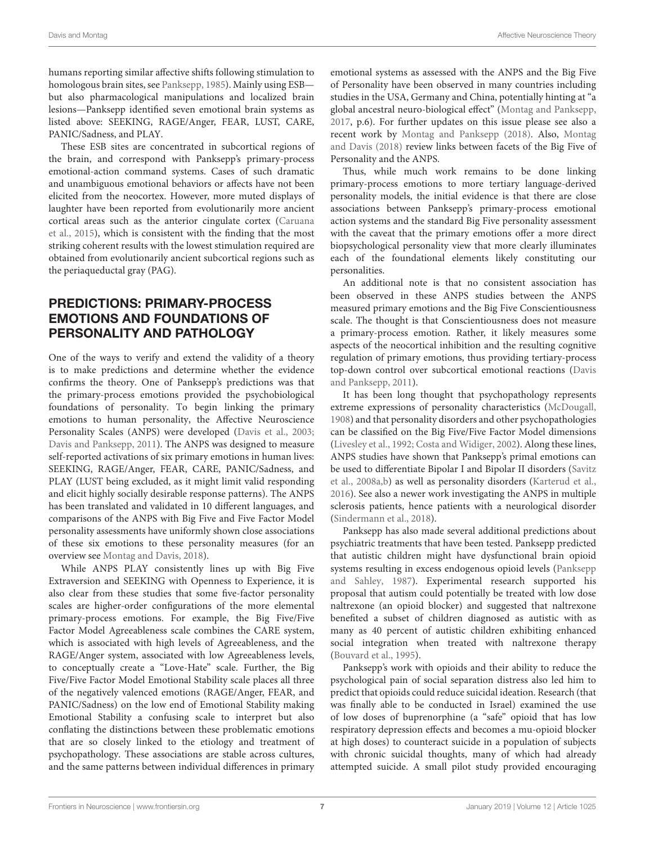humans reporting similar affective shifts following stimulation to homologous brain sites, see [Panksepp, 1985\)](#page-9-11). Mainly using ESB but also pharmacological manipulations and localized brain lesions—Panksepp identified seven emotional brain systems as listed above: SEEKING, RAGE/Anger, FEAR, LUST, CARE, PANIC/Sadness, and PLAY.

These ESB sites are concentrated in subcortical regions of the brain, and correspond with Panksepp's primary-process emotional-action command systems. Cases of such dramatic and unambiguous emotional behaviors or affects have not been elicited from the neocortex. However, more muted displays of laughter have been reported from evolutionarily more ancient cortical areas such as the anterior cingulate cortex (Caruana et al., [2015\)](#page-8-12), which is consistent with the finding that the most striking coherent results with the lowest stimulation required are obtained from evolutionarily ancient subcortical regions such as the periaqueductal gray (PAG).

# PREDICTIONS: PRIMARY-PROCESS EMOTIONS AND FOUNDATIONS OF PERSONALITY AND PATHOLOGY

One of the ways to verify and extend the validity of a theory is to make predictions and determine whether the evidence confirms the theory. One of Panksepp's predictions was that the primary-process emotions provided the psychobiological foundations of personality. To begin linking the primary emotions to human personality, the Affective Neuroscience Personality Scales (ANPS) were developed [\(Davis et al., 2003;](#page-8-13) [Davis and Panksepp, 2011\)](#page-8-14). The ANPS was designed to measure self-reported activations of six primary emotions in human lives: SEEKING, RAGE/Anger, FEAR, CARE, PANIC/Sadness, and PLAY (LUST being excluded, as it might limit valid responding and elicit highly socially desirable response patterns). The ANPS has been translated and validated in 10 different languages, and comparisons of the ANPS with Big Five and Five Factor Model personality assessments have uniformly shown close associations of these six emotions to these personality measures (for an overview see [Montag and Davis, 2018\)](#page-9-36).

While ANPS PLAY consistently lines up with Big Five Extraversion and SEEKING with Openness to Experience, it is also clear from these studies that some five-factor personality scales are higher-order configurations of the more elemental primary-process emotions. For example, the Big Five/Five Factor Model Agreeableness scale combines the CARE system, which is associated with high levels of Agreeableness, and the RAGE/Anger system, associated with low Agreeableness levels, to conceptually create a "Love-Hate" scale. Further, the Big Five/Five Factor Model Emotional Stability scale places all three of the negatively valenced emotions (RAGE/Anger, FEAR, and PANIC/Sadness) on the low end of Emotional Stability making Emotional Stability a confusing scale to interpret but also conflating the distinctions between these problematic emotions that are so closely linked to the etiology and treatment of psychopathology. These associations are stable across cultures, and the same patterns between individual differences in primary emotional systems as assessed with the ANPS and the Big Five of Personality have been observed in many countries including studies in the USA, Germany and China, potentially hinting at "a global ancestral neuro-biological effect" [\(Montag and Panksepp,](#page-9-37) [2017,](#page-9-37) p.6). For further updates on this issue please see also a recent work by [Montag and Panksepp \(2018\)](#page-9-38). Also, Montag and Davis [\(2018\)](#page-9-36) review links between facets of the Big Five of Personality and the ANPS.

Thus, while much work remains to be done linking primary-process emotions to more tertiary language-derived personality models, the initial evidence is that there are close associations between Panksepp's primary-process emotional action systems and the standard Big Five personality assessment with the caveat that the primary emotions offer a more direct biopsychological personality view that more clearly illuminates each of the foundational elements likely constituting our personalities.

An additional note is that no consistent association has been observed in these ANPS studies between the ANPS measured primary emotions and the Big Five Conscientiousness scale. The thought is that Conscientiousness does not measure a primary-process emotion. Rather, it likely measures some aspects of the neocortical inhibition and the resulting cognitive regulation of primary emotions, thus providing tertiary-process top-down control over subcortical emotional reactions (Davis and Panksepp, [2011\)](#page-8-14).

It has been long thought that psychopathology represents extreme expressions of personality characteristics [\(McDougall,](#page-9-39) [1908\)](#page-9-39) and that personality disorders and other psychopathologies can be classified on the Big Five/Five Factor Model dimensions [\(Livesley et al., 1992;](#page-9-40) [Costa and Widiger, 2002\)](#page-8-15). Along these lines, ANPS studies have shown that Panksepp's primal emotions can be used to differentiate Bipolar I and Bipolar II disorders (Savitz et al., [2008a,](#page-10-22)[b\)](#page-10-23) as well as personality disorders [\(Karterud et al.,](#page-9-41) [2016\)](#page-9-41). See also a newer work investigating the ANPS in multiple sclerosis patients, hence patients with a neurological disorder [\(Sindermann et al., 2018\)](#page-10-24).

Panksepp has also made several additional predictions about psychiatric treatments that have been tested. Panksepp predicted that autistic children might have dysfunctional brain opioid systems resulting in excess endogenous opioid levels (Panksepp and Sahley, [1987\)](#page-10-25). Experimental research supported his proposal that autism could potentially be treated with low dose naltrexone (an opioid blocker) and suggested that naltrexone benefited a subset of children diagnosed as autistic with as many as 40 percent of autistic children exhibiting enhanced social integration when treated with naltrexone therapy [\(Bouvard et al., 1995\)](#page-8-16).

Panksepp's work with opioids and their ability to reduce the psychological pain of social separation distress also led him to predict that opioids could reduce suicidal ideation. Research (that was finally able to be conducted in Israel) examined the use of low doses of buprenorphine (a "safe" opioid that has low respiratory depression effects and becomes a mu-opioid blocker at high doses) to counteract suicide in a population of subjects with chronic suicidal thoughts, many of which had already attempted suicide. A small pilot study provided encouraging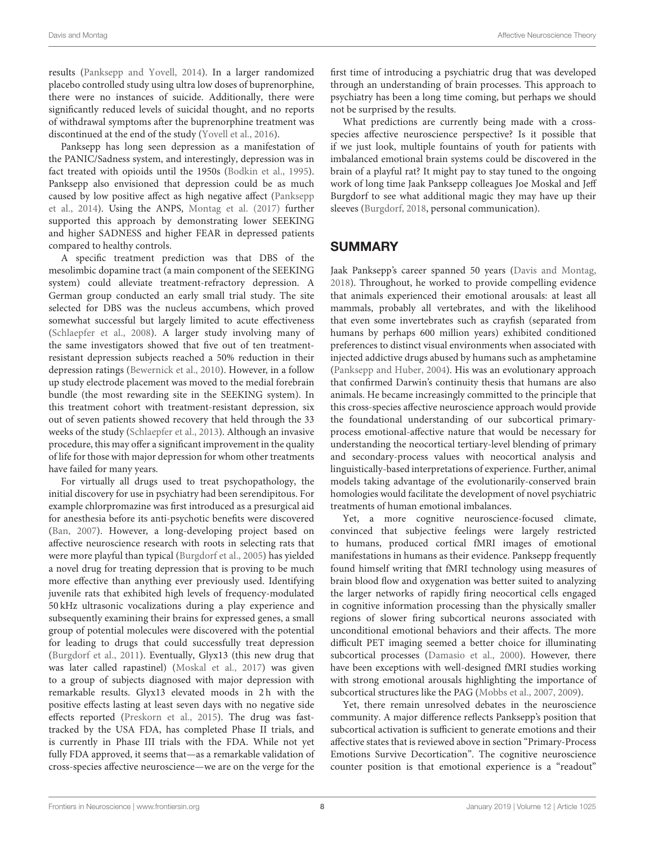results [\(Panksepp and Yovell, 2014\)](#page-10-26). In a larger randomized placebo controlled study using ultra low doses of buprenorphine, there were no instances of suicide. Additionally, there were significantly reduced levels of suicidal thought, and no reports of withdrawal symptoms after the buprenorphine treatment was discontinued at the end of the study [\(Yovell et al., 2016\)](#page-10-27).

Panksepp has long seen depression as a manifestation of the PANIC/Sadness system, and interestingly, depression was in fact treated with opioids until the 1950s [\(Bodkin et al., 1995\)](#page-8-17). Panksepp also envisioned that depression could be as much caused by low positive affect as high negative affect (Panksepp et al., [2014\)](#page-10-28). Using the ANPS, [Montag et al. \(2017\)](#page-9-42) further supported this approach by demonstrating lower SEEKING and higher SADNESS and higher FEAR in depressed patients compared to healthy controls.

A specific treatment prediction was that DBS of the mesolimbic dopamine tract (a main component of the SEEKING system) could alleviate treatment-refractory depression. A German group conducted an early small trial study. The site selected for DBS was the nucleus accumbens, which proved somewhat successful but largely limited to acute effectiveness [\(Schlaepfer et al., 2008\)](#page-10-29). A larger study involving many of the same investigators showed that five out of ten treatmentresistant depression subjects reached a 50% reduction in their depression ratings [\(Bewernick et al., 2010\)](#page-8-18). However, in a follow up study electrode placement was moved to the medial forebrain bundle (the most rewarding site in the SEEKING system). In this treatment cohort with treatment-resistant depression, six out of seven patients showed recovery that held through the 33 weeks of the study [\(Schlaepfer et al., 2013\)](#page-10-30). Although an invasive procedure, this may offer a significant improvement in the quality of life for those with major depression for whom other treatments have failed for many years.

For virtually all drugs used to treat psychopathology, the initial discovery for use in psychiatry had been serendipitous. For example chlorpromazine was first introduced as a presurgical aid for anesthesia before its anti-psychotic benefits were discovered [\(Ban, 2007\)](#page-8-19). However, a long-developing project based on affective neuroscience research with roots in selecting rats that were more playful than typical [\(Burgdorf et al., 2005\)](#page-8-20) has yielded a novel drug for treating depression that is proving to be much more effective than anything ever previously used. Identifying juvenile rats that exhibited high levels of frequency-modulated 50 kHz ultrasonic vocalizations during a play experience and subsequently examining their brains for expressed genes, a small group of potential molecules were discovered with the potential for leading to drugs that could successfully treat depression [\(Burgdorf et al., 2011\)](#page-8-21). Eventually, Glyx13 (this new drug that was later called rapastinel) [\(Moskal et al., 2017\)](#page-9-43) was given to a group of subjects diagnosed with major depression with remarkable results. Glyx13 elevated moods in 2 h with the positive effects lasting at least seven days with no negative side effects reported [\(Preskorn et al., 2015\)](#page-10-31). The drug was fasttracked by the USA FDA, has completed Phase II trials, and is currently in Phase III trials with the FDA. While not yet fully FDA approved, it seems that—as a remarkable validation of cross-species affective neuroscience—we are on the verge for the first time of introducing a psychiatric drug that was developed through an understanding of brain processes. This approach to psychiatry has been a long time coming, but perhaps we should not be surprised by the results.

What predictions are currently being made with a crossspecies affective neuroscience perspective? Is it possible that if we just look, multiple fountains of youth for patients with imbalanced emotional brain systems could be discovered in the brain of a playful rat? It might pay to stay tuned to the ongoing work of long time Jaak Panksepp colleagues Joe Moskal and Jeff Burgdorf to see what additional magic they may have up their sleeves [\(Burgdorf, 2018,](#page-8-22) personal communication).

### **SUMMARY**

Jaak Panksepp's career spanned 50 years [\(Davis and Montag,](#page-8-1) [2018\)](#page-8-1). Throughout, he worked to provide compelling evidence that animals experienced their emotional arousals: at least all mammals, probably all vertebrates, and with the likelihood that even some invertebrates such as crayfish (separated from humans by perhaps 600 million years) exhibited conditioned preferences to distinct visual environments when associated with injected addictive drugs abused by humans such as amphetamine [\(Panksepp and Huber, 2004\)](#page-10-32). His was an evolutionary approach that confirmed Darwin's continuity thesis that humans are also animals. He became increasingly committed to the principle that this cross-species affective neuroscience approach would provide the foundational understanding of our subcortical primaryprocess emotional-affective nature that would be necessary for understanding the neocortical tertiary-level blending of primary and secondary-process values with neocortical analysis and linguistically-based interpretations of experience. Further, animal models taking advantage of the evolutionarily-conserved brain homologies would facilitate the development of novel psychiatric treatments of human emotional imbalances.

Yet, a more cognitive neuroscience-focused climate, convinced that subjective feelings were largely restricted to humans, produced cortical fMRI images of emotional manifestations in humans as their evidence. Panksepp frequently found himself writing that fMRI technology using measures of brain blood flow and oxygenation was better suited to analyzing the larger networks of rapidly firing neocortical cells engaged in cognitive information processing than the physically smaller regions of slower firing subcortical neurons associated with unconditional emotional behaviors and their affects. The more difficult PET imaging seemed a better choice for illuminating subcortical processes [\(Damasio et al., 2000\)](#page-8-2). However, there have been exceptions with well-designed fMRI studies working with strong emotional arousals highlighting the importance of subcortical structures like the PAG [\(Mobbs et al., 2007,](#page-9-44) [2009\)](#page-9-45).

Yet, there remain unresolved debates in the neuroscience community. A major difference reflects Panksepp's position that subcortical activation is sufficient to generate emotions and their affective states that is reviewed above in section "Primary-Process Emotions Survive Decortication". The cognitive neuroscience counter position is that emotional experience is a "readout"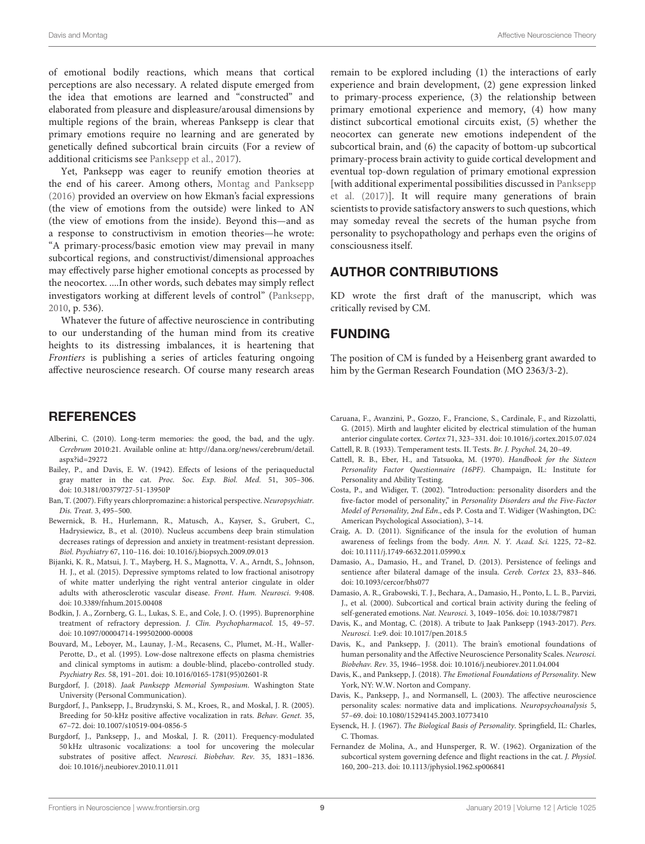of emotional bodily reactions, which means that cortical perceptions are also necessary. A related dispute emerged from the idea that emotions are learned and "constructed" and elaborated from pleasure and displeasure/arousal dimensions by multiple regions of the brain, whereas Panksepp is clear that primary emotions require no learning and are generated by genetically defined subcortical brain circuits (For a review of additional criticisms see [Panksepp et al., 2017\)](#page-10-3).

Yet, Panksepp was eager to reunify emotion theories at the end of his career. Among others, [Montag and Panksepp](#page-9-46) [\(2016\)](#page-9-46) provided an overview on how Ekman's facial expressions (the view of emotions from the outside) were linked to AN (the view of emotions from the inside). Beyond this—and as a response to constructivism in emotion theories—he wrote: "A primary-process/basic emotion view may prevail in many subcortical regions, and constructivist/dimensional approaches may effectively parse higher emotional concepts as processed by the neocortex. ....In other words, such debates may simply reflect investigators working at different levels of control" [\(Panksepp,](#page-9-47) [2010,](#page-9-47) p. 536).

Whatever the future of affective neuroscience in contributing to our understanding of the human mind from its creative heights to its distressing imbalances, it is heartening that Frontiers is publishing a series of articles featuring ongoing affective neuroscience research. Of course many research areas

#### **REFERENCES**

- <span id="page-8-8"></span>Alberini, C. (2010). Long-term memories: the good, the bad, and the ugly. Cerebrum 2010:21. Available online at: [http://dana.org/news/cerebrum/detail.](http://dana.org/news/cerebrum/detail.aspx?id=29272)  $aspx$ ?id=29272
- <span id="page-8-6"></span>Bailey, P., and Davis, E. W. (1942). Effects of lesions of the periaqueductal gray matter in the cat. Proc. Soc. Exp. Biol. Med. 51, 305–306. doi: [10.3181/00379727-51-13950P](https://doi.org/10.3181/00379727-51-13950P)
- <span id="page-8-19"></span>Ban, T. (2007). Fifty years chlorpromazine: a historical perspective. Neuropsychiatr. Dis. Treat. 3, 495–500.
- <span id="page-8-18"></span>Bewernick, B. H., Hurlemann, R., Matusch, A., Kayser, S., Grubert, C., Hadrysiewicz, B., et al. (2010). Nucleus accumbens deep brain stimulation decreases ratings of depression and anxiety in treatment-resistant depression. Biol. Psychiatry 67, 110–116. doi: [10.1016/j.biopsych.2009.09.013](https://doi.org/10.1016/j.biopsych.2009.09.013)
- <span id="page-8-5"></span>Bijanki, K. R., Matsui, J. T., Mayberg, H. S., Magnotta, V. A., Arndt, S., Johnson, H. J., et al. (2015). Depressive symptoms related to low fractional anisotropy of white matter underlying the right ventral anterior cingulate in older adults with atherosclerotic vascular disease. Front. Hum. Neurosci. 9:408. doi: [10.3389/fnhum.2015.00408](https://doi.org/10.3389/fnhum.2015.00408)
- <span id="page-8-17"></span>Bodkin, J. A., Zornberg, G. L., Lukas, S. E., and Cole, J. O. (1995). Buprenorphine treatment of refractory depression. J. Clin. Psychopharmacol. 15, 49–57. doi: [10.1097/00004714-199502000-00008](https://doi.org/10.1097/00004714-199502000-00008)
- <span id="page-8-16"></span>Bouvard, M., Leboyer, M., Launay, J.-M., Recasens, C., Plumet, M.-H., Waller-Perotte, D., et al. (1995). Low-dose naltrexone effects on plasma chemistries and clinical symptoms in autism: a double-blind, placebo-controlled study. Psychiatry Res. 58, 191–201. doi: [10.1016/0165-1781\(95\)02601-R](https://doi.org/10.1016/0165-1781(95)02601-R)
- <span id="page-8-22"></span>Burgdorf, J. (2018). Jaak Panksepp Memorial Symposium. Washington State University (Personal Communication).
- <span id="page-8-20"></span>Burgdorf, J., Panksepp, J., Brudzynski, S. M., Kroes, R., and Moskal, J. R. (2005). Breeding for 50-kHz positive affective vocalization in rats. Behav. Genet. 35, 67–72. doi: [10.1007/s10519-004-0856-5](https://doi.org/10.1007/s10519-004-0856-5)
- <span id="page-8-21"></span>Burgdorf, J., Panksepp, J., and Moskal, J. R. (2011). Frequency-modulated 50 kHz ultrasonic vocalizations: a tool for uncovering the molecular substrates of positive affect. Neurosci. Biobehav. Rev. 35, 1831–1836. doi: [10.1016/j.neubiorev.2010.11.011](https://doi.org/10.1016/j.neubiorev.2010.11.011)

remain to be explored including (1) the interactions of early experience and brain development, (2) gene expression linked to primary-process experience, (3) the relationship between primary emotional experience and memory, (4) how many distinct subcortical emotional circuits exist, (5) whether the neocortex can generate new emotions independent of the subcortical brain, and (6) the capacity of bottom-up subcortical primary-process brain activity to guide cortical development and eventual top-down regulation of primary emotional expression [with additional experimental possibilities discussed in Panksepp et al. [\(2017\)](#page-10-3)]. It will require many generations of brain scientists to provide satisfactory answers to such questions, which may someday reveal the secrets of the human psyche from personality to psychopathology and perhaps even the origins of consciousness itself.

### AUTHOR CONTRIBUTIONS

KD wrote the first draft of the manuscript, which was critically revised by CM.

### FUNDING

The position of CM is funded by a Heisenberg grant awarded to him by the German Research Foundation (MO 2363/3-2).

- <span id="page-8-12"></span>Caruana, F., Avanzini, P., Gozzo, F., Francione, S., Cardinale, F., and Rizzolatti, G. (2015). Mirth and laughter elicited by electrical stimulation of the human anterior cingulate cortex. Cortex 71, 323–331. doi: [10.1016/j.cortex.2015.07.024](https://doi.org/10.1016/j.cortex.2015.07.024)
- <span id="page-8-9"></span>Cattell, R. B. (1933). Temperament tests. II. Tests. Br. J. Psychol. 24, 20–49.
- <span id="page-8-10"></span>Cattell, R. B., Eber, H., and Tatsuoka, M. (1970). Handbook for the Sixteen Personality Factor Questionnaire (16PF). Champaign, IL: Institute for Personality and Ability Testing.
- <span id="page-8-15"></span>Costa, P., and Widiger, T. (2002). "Introduction: personality disorders and the five-factor model of personality," in Personality Disorders and the Five-Factor Model of Personality, 2nd Edn., eds P. Costa and T. Widiger (Washington, DC: American Psychological Association), 3–14.
- <span id="page-8-4"></span>Craig, A. D. (2011). Significance of the insula for the evolution of human awareness of feelings from the body. Ann. N. Y. Acad. Sci. 1225, 72–82. doi: [10.1111/j.1749-6632.2011.05990.x](https://doi.org/10.1111/j.1749-6632.2011.05990.x)
- <span id="page-8-3"></span>Damasio, A., Damasio, H., and Tranel, D. (2013). Persistence of feelings and sentience after bilateral damage of the insula. Cereb. Cortex 23, 833–846. doi: [10.1093/cercor/bhs077](https://doi.org/10.1093/cercor/bhs077)
- <span id="page-8-2"></span>Damasio, A. R., Grabowski, T. J., Bechara, A., Damasio, H., Ponto, L. L. B., Parvizi, J., et al. (2000). Subcortical and cortical brain activity during the feeling of self-generated emotions. Nat. Neurosci. 3, 1049–1056. doi: [10.1038/79871](https://doi.org/10.1038/79871)
- <span id="page-8-1"></span>Davis, K., and Montag, C. (2018). A tribute to Jaak Panksepp (1943-2017). Pers. Neurosci. 1:e9. doi: [10.1017/pen.2018.5](https://doi.org/10.1017/pen.2018.5)
- <span id="page-8-14"></span>Davis, K., and Panksepp, J. (2011). The brain's emotional foundations of human personality and the Affective Neuroscience Personality Scales. Neurosci. Biobehav. Rev. 35, 1946–1958. doi: [10.1016/j.neubiorev.2011.04.004](https://doi.org/10.1016/j.neubiorev.2011.04.004)
- <span id="page-8-0"></span>Davis, K., and Panksepp, J. (2018). The Emotional Foundations of Personality. New York, NY: W.W. Norton and Company.
- <span id="page-8-13"></span>Davis, K., Panksepp, J., and Normansell, L. (2003). The affective neuroscience personality scales: normative data and implications. Neuropsychoanalysis 5, 57–69. doi: [10.1080/15294145.2003.10773410](https://doi.org/10.1080/15294145.2003.10773410)
- <span id="page-8-11"></span>Eysenck, H. J. (1967). The Biological Basis of Personality. Springfield, IL: Charles, C. Thomas.
- <span id="page-8-7"></span>Fernandez de Molina, A., and Hunsperger, R. W. (1962). Organization of the subcortical system governing defence and flight reactions in the cat. J. Physiol. 160, 200–213. doi: [10.1113/jphysiol.1962.sp006841](https://doi.org/10.1113/jphysiol.1962.sp006841)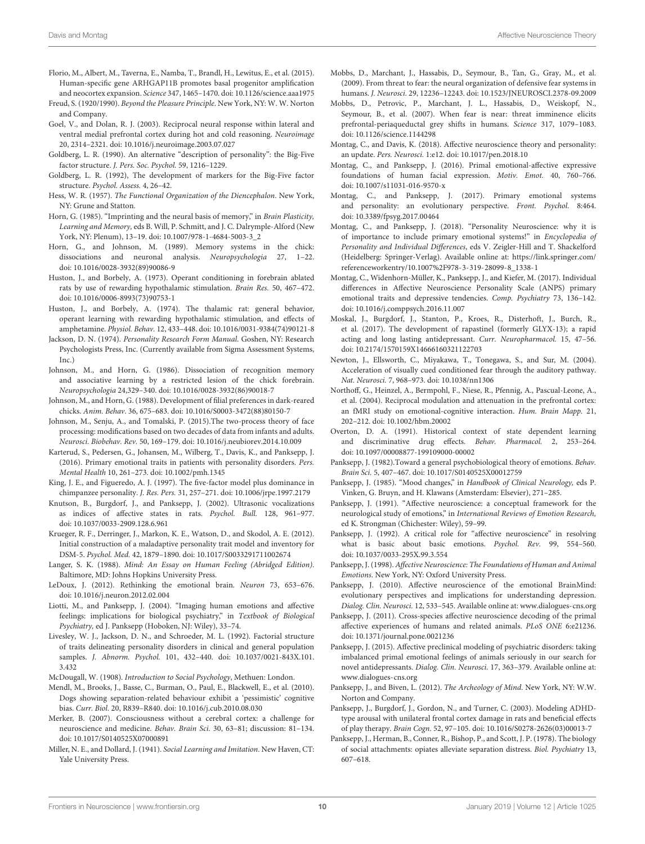- <span id="page-9-19"></span>Florio, M., Albert, M., Taverna, E., Namba, T., Brandl, H., Lewitus, E., et al. (2015). Human-specific gene ARHGAP11B promotes basal progenitor amplification and neocortex expansion. Science 347, 1465–1470. doi: [10.1126/science.aaa1975](https://doi.org/10.1126/science.aaa1975)
- <span id="page-9-28"></span>Freud, S. (1920/1990). Beyond the Pleasure Principle. New York, NY: W. W. Norton and Company.
- <span id="page-9-26"></span>Goel, V., and Dolan, R. J. (2003). Reciprocal neural response within lateral and ventral medial prefrontal cortex during hot and cold reasoning. Neuroimage 20, 2314–2321. doi: [10.1016/j.neuroimage.2003.07.027](https://doi.org/10.1016/j.neuroimage.2003.07.027)
- <span id="page-9-31"></span>Goldberg, L. R. (1990). An alternative "description of personality": the Big-Five factor structure. J. Pers. Soc. Psychol. 59, 1216–1229.
- <span id="page-9-32"></span>Goldberg, L. R. (1992), The development of markers for the Big-Five factor structure. Psychol. Assess. 4, 26–42.
- <span id="page-9-35"></span>Hess, W. R. (1957). The Functional Organization of the Diencephalon. New York, NY: Grune and Statton.
- <span id="page-9-21"></span>Horn, G. (1985). "Imprinting and the neural basis of memory," in Brain Plasticity, Learning and Memory, eds B. Will, P. Schmitt, and J. C. Dalrymple-Alford (New York, NY: Plenum), 13–19. doi: [10.1007/978-1-4684-5003-3\\_2](https://doi.org/10.1007/978-1-4684-5003-3_2)
- <span id="page-9-22"></span>Horn, G., and Johnson, M. (1989). Memory systems in the chick: dissociations and neuronal analysis. Neuropsychologia 27, 1–22. doi: [10.1016/0028-3932\(89\)90086-9](https://doi.org/10.1016/0028-3932(89)90086-9)
- <span id="page-9-12"></span>Huston, J., and Borbely, A. (1973). Operant conditioning in forebrain ablated rats by use of rewarding hypothalamic stimulation. Brain Res. 50, 467–472. doi: [10.1016/0006-8993\(73\)90753-1](https://doi.org/10.1016/0006-8993(73)90753-1)
- <span id="page-9-13"></span>Huston, J., and Borbely, A. (1974). The thalamic rat: general behavior, operant learning with rewarding hypothalamic stimulation, and effects of amphetamine. Physiol. Behav. 12, 433–448. doi: [10.1016/0031-9384\(74\)90121-8](https://doi.org/10.1016/0031-9384(74)90121-8)
- <span id="page-9-30"></span>Jackson, D. N. (1974). Personality Research Form Manual. Goshen, NY: Research Psychologists Press, Inc. (Currently available from Sigma Assessment Systems, Inc.)
- <span id="page-9-24"></span>Johnson, M., and Horn, G. (1986). Dissociation of recognition memory and associative learning by a restricted lesion of the chick forebrain. Neuropsychologia 24,329–340. doi: [10.1016/0028-3932\(86\)90018-7](https://doi.org/10.1016/0028-3932(86)90018-7)
- <span id="page-9-23"></span>Johnson, M., and Horn, G. (1988). Development of filial preferences in dark-reared chicks. Anim. Behav. 36, 675–683. doi: [10.1016/S0003-3472\(88\)80150-7](https://doi.org/10.1016/S0003-3472(88)80150-7)
- <span id="page-9-25"></span>Johnson, M., Senju, A., and Tomalski, P. (2015).The two-process theory of face processing: modifications based on two decades of data from infants and adults. Neurosci. Biobehav. Rev. 50, 169–179. doi: [10.1016/j.neubiorev.2014.10.009](https://doi.org/10.1016/j.neubiorev.2014.10.009)
- <span id="page-9-41"></span>Karterud, S., Pedersen, G., Johansen, M., Wilberg, T., Davis, K., and Panksepp, J. (2016). Primary emotional traits in patients with personality disorders. Pers. Mental Health 10, 261–273. doi: [10.1002/pmh.1345](https://doi.org/10.1002/pmh.1345)
- <span id="page-9-33"></span>King, J. E., and Figueredo, A. J. (1997). The five-factor model plus dominance in chimpanzee personality. J. Res. Pers. 31, 257–271. doi: [10.1006/jrpe.1997.2179](https://doi.org/10.1006/jrpe.1997.2179)
- <span id="page-9-8"></span>Knutson, B., Burgdorf, J., and Panksepp, J. (2002). Ultrasonic vocalizations as indices of affective states in rats. Psychol. Bull. 128, 961–977. doi: [10.1037/0033-2909.128.6.961](https://doi.org/10.1037/0033-2909.128.6.961)
- <span id="page-9-34"></span>Krueger, R. F., Derringer, J., Markon, K. E., Watson, D., and Skodol, A. E. (2012). Initial construction of a maladaptive personality trait model and inventory for DSM-5. Psychol. Med. 42, 1879–1890. doi: [10.1017/S0033291711002674](https://doi.org/10.1017/S0033291711002674)
- <span id="page-9-6"></span>Langer, S. K. (1988). Mind: An Essay on Human Feeling (Abridged Edition). Baltimore, MD: Johns Hopkins University Press.
- <span id="page-9-16"></span>LeDoux, J. (2012). Rethinking the emotional brain. Neuron 73, 653–676. doi: [10.1016/j.neuron.2012.02.004](https://doi.org/10.1016/j.neuron.2012.02.004)
- <span id="page-9-14"></span>Liotti, M., and Panksepp, J. (2004). "Imaging human emotions and affective feelings: implications for biological psychiatry," in Textbook of Biological Psychiatry, ed J. Panksepp (Hoboken, NJ: Wiley), 33–74.
- <span id="page-9-40"></span>Livesley, W. J., Jackson, D. N., and Schroeder, M. L. (1992). Factorial structure of traits delineating personality disorders in clinical and general population samples. J. Abnorm. Psychol. [101, 432–440. doi: 10.1037/0021-843X.101.](https://doi.org/10.1037/0021-843X.101.3.432) 3.432
- <span id="page-9-39"></span>McDougall, W. (1908). Introduction to Social Psychology, Methuen: London.
- <span id="page-9-9"></span>Mendl, M., Brooks, J., Basse, C., Burman, O., Paul, E., Blackwell, E., et al. (2010). Dogs showing separation-related behaviour exhibit a 'pessimistic' cognitive bias. Curr. Biol. 20, R839–R840. doi: [10.1016/j.cub.2010.08.030](https://doi.org/10.1016/j.cub.2010.08.030)
- <span id="page-9-15"></span>Merker, B. (2007). Consciousness without a cerebral cortex: a challenge for neuroscience and medicine. Behav. Brain Sci. 30, 63–81; discussion: 81–134. doi: [10.1017/S0140525X07000891](https://doi.org/10.1017/S0140525X07000891)
- <span id="page-9-29"></span>Miller, N. E., and Dollard, J. (1941). Social Learning and Imitation. New Haven, CT: Yale University Press.
- <span id="page-9-45"></span>Mobbs, D., Marchant, J., Hassabis, D., Seymour, B., Tan, G., Gray, M., et al. (2009). From threat to fear: the neural organization of defensive fear systems in humans. J. Neurosci. 29, 12236–12243. doi: [10.1523/JNEUROSCI.2378-09.2009](https://doi.org/10.1523/JNEUROSCI.2378-09.2009)
- <span id="page-9-44"></span>Mobbs, D., Petrovic, P., Marchant, J. L., Hassabis, D., Weiskopf, N., Seymour, B., et al. (2007). When fear is near: threat imminence elicits prefrontal-periaqueductal grey shifts in humans. Science 317, 1079–1083. doi: [10.1126/science.1144298](https://doi.org/10.1126/science.1144298)
- <span id="page-9-36"></span>Montag, C., and Davis, K. (2018). Affective neuroscience theory and personality: an update. Pers. Neurosci. 1:e12. doi: [10.1017/pen.2018.10](https://doi.org/10.1017/pen.2018.10)
- <span id="page-9-46"></span>Montag, C., and Panksepp, J. (2016). Primal emotional-affective expressive foundations of human facial expression. Motiv. Emot. 40, 760–766. doi: [10.1007/s11031-016-9570-x](https://doi.org/10.1007/s11031-016-9570-x)
- <span id="page-9-37"></span>Montag, C., and Panksepp, J. (2017). Primary emotional systems and personality: an evolutionary perspective. Front. Psychol. 8:464. doi: [10.3389/fpsyg.2017.00464](https://doi.org/10.3389/fpsyg.2017.00464)
- <span id="page-9-38"></span>Montag, C., and Panksepp, J. (2018). "Personality Neuroscience: why it is of importance to include primary emotional systems!" in Encyclopedia of Personality and Individual Differences, eds V. Zeigler-Hill and T. Shackelford (Heidelberg: Springer-Verlag). Available online at: [https://link.springer.com/](https://link.springer.com/referenceworkentry/10.1007%2F978-3-319-28099-8_1338-1) [referenceworkentry/10.1007%2F978-3-319-28099-8\\_1338-1](https://link.springer.com/referenceworkentry/10.1007%2F978-3-319-28099-8_1338-1)
- <span id="page-9-42"></span>Montag, C., Widenhorn-Müller, K., Panksepp, J., and Kiefer, M. (2017). Individual differences in Affective Neuroscience Personality Scale (ANPS) primary emotional traits and depressive tendencies. Comp. Psychiatry 73, 136–142. doi: [10.1016/j.comppsych.2016.11.007](https://doi.org/10.1016/j.comppsych.2016.11.007)
- <span id="page-9-43"></span>Moskal, J., Burgdorf, J., Stanton, P., Kroes, R., Disterhoft, J., Burch, R., et al. (2017). The development of rapastinel (formerly GLYX-13); a rapid acting and long lasting antidepressant. Curr. Neuropharmacol. 15, 47–56. doi: [10.2174/1570159X14666160321122703](https://doi.org/10.2174/1570159X14666160321122703)
- <span id="page-9-18"></span>Newton, J., Ellsworth, C., Miyakawa, T., Tonegawa, S., and Sur, M. (2004). Acceleration of visually cued conditioned fear through the auditory pathway. Nat. Neurosci. 7, 968–973. doi: [10.1038/nn1306](https://doi.org/10.1038/nn1306)
- <span id="page-9-27"></span>Northoff, G., Heinzel, A., Bermpohl, F., Niese, R., Pfennig, A., Pascual-Leone, A., et al. (2004). Reciprocal modulation and attenuation in the prefrontal cortex: an fMRI study on emotional-cognitive interaction. Hum. Brain Mapp. 21, 202–212. doi: [10.1002/hbm.20002](https://doi.org/10.1002/hbm.20002)
- <span id="page-9-10"></span>Overton, D. A. (1991). Historical context of state dependent learning and discriminative drug effects. Behav. Pharmacol. 2, 253–264. doi: [10.1097/00008877-199109000-00002](https://doi.org/10.1097/00008877-199109000-00002)
- <span id="page-9-3"></span>Panksepp, J. (1982).Toward a general psychobiological theory of emotions. Behav. Brain Sci. 5, 407–467. doi: [10.1017/S0140525X00012759](https://doi.org/10.1017/S0140525X00012759)
- <span id="page-9-11"></span>Panksepp, J. (1985). "Mood changes," in Handbook of Clinical Neurology, eds P. Vinken, G. Bruyn, and H. Klawans (Amsterdam: Elsevier), 271–285.
- <span id="page-9-0"></span>Panksepp, J. (1991). "Affective neuroscience: a conceptual framework for the neurological study of emotions," in International Reviews of Emotion Research, ed K. Strongman (Chichester: Wiley), 59–99.
- <span id="page-9-1"></span>Panksepp, J. (1992). A critical role for "affective neuroscience" in resolving what is basic about basic emotions. Psychol. Rev. 99, 554–560. doi: [10.1037/0033-295X.99.3.554](https://doi.org/10.1037/0033-295X.99.3.554)
- <span id="page-9-4"></span>Panksepp, J. (1998). Affective Neuroscience: The Foundations of Human and Animal Emotions. New York, NY: Oxford University Press.
- <span id="page-9-47"></span>Panksepp, J. (2010). Affective neuroscience of the emotional BrainMind: evolutionary perspectives and implications for understanding depression. Dialog. Clin. Neurosci. 12, 533–545. Available online at:<www.dialogues-cns.org>
- <span id="page-9-7"></span>Panksepp, J. (2011). Cross-species affective neuroscience decoding of the primal affective experiences of humans and related animals. PLoS ONE 6:e21236. doi: [10.1371/journal.pone.0021236](https://doi.org/10.1371/journal.pone.0021236)
- <span id="page-9-17"></span>Panksepp, J. (2015). Affective preclinical modeling of psychiatric disorders: taking imbalanced primal emotional feelings of animals seriously in our search for novel antidepressants. Dialog. Clin. Neurosci. 17, 363–379. Available online at: <www.dialogues-cns.org>
- <span id="page-9-5"></span>Panksepp, J., and Biven, L. (2012). The Archeology of Mind. New York, NY: W.W. Norton and Company.
- <span id="page-9-20"></span>Panksepp, J., Burgdorf, J., Gordon, N., and Turner, C. (2003). Modeling ADHDtype arousal with unilateral frontal cortex damage in rats and beneficial effects of play therapy. Brain Cogn. 52, 97–105. doi: [10.1016/S0278-2626\(03\)00013-7](https://doi.org/10.1016/S0278-2626(03)00013-7)
- <span id="page-9-2"></span>Panksepp, J., Herman, B., Conner, R., Bishop, P., and Scott, J. P. (1978). The biology of social attachments: opiates alleviate separation distress. Biol. Psychiatry 13, 607–618.